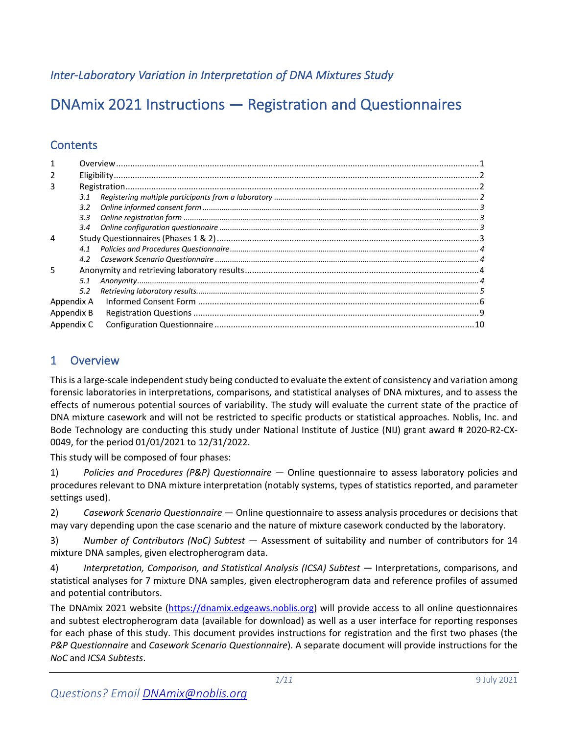*Inter-Laboratory Variation in Interpretation of DNA Mixtures Study*

# DNAmix 2021 Instructions — Registration and Questionnaires

# **Contents**

| $\mathcal{P}$  |               |  |
|----------------|---------------|--|
| 3              |               |  |
|                | 3.1           |  |
|                | 3.2           |  |
|                | 3.3           |  |
|                | $3.4^{\circ}$ |  |
| 4              |               |  |
|                | 4.1           |  |
|                | 4.2           |  |
| $\overline{5}$ |               |  |
|                | 5.1           |  |
|                | 5.2           |  |
| Appendix A     |               |  |
| Appendix B     |               |  |
| Appendix C     |               |  |

# 1 Overview

This is a large-scale independent study being conducted to evaluate the extent of consistency and variation among forensic laboratories in interpretations, comparisons, and statistical analyses of DNA mixtures, and to assess the effects of numerous potential sources of variability. The study will evaluate the current state of the practice of DNA mixture casework and will not be restricted to specific products or statistical approaches. Noblis, Inc. and Bode Technology are conducting this study under National Institute of Justice (NIJ) grant award # 2020-R2-CX-0049, for the period 01/01/2021 to 12/31/2022.

This study will be composed of four phases:

1) *Policies and Procedures (P&P) Questionnaire* — Online questionnaire to assess laboratory policies and procedures relevant to DNA mixture interpretation (notably systems, types of statistics reported, and parameter settings used).

2) *Casework Scenario Questionnaire* — Online questionnaire to assess analysis procedures or decisions that may vary depending upon the case scenario and the nature of mixture casework conducted by the laboratory.

3) *Number of Contributors (NoC) Subtest* — Assessment of suitability and number of contributors for 14 mixture DNA samples, given electropherogram data.

4) *Interpretation, Comparison, and Statistical Analysis (ICSA) Subtest* — Interpretations, comparisons, and statistical analyses for 7 mixture DNA samples, given electropherogram data and reference profiles of assumed and potential contributors.

The DNAmix 2021 website (https://dnamix.edgeaws.noblis.org) will provide access to all online questionnaires and subtest electropherogram data (available for download) as well as a user interface for reporting responses for each phase of this study. This document provides instructions for registration and the first two phases (the *P&P Questionnaire* and *Casework Scenario Questionnaire*). A separate document will provide instructions for the *NoC* and *ICSA Subtests*.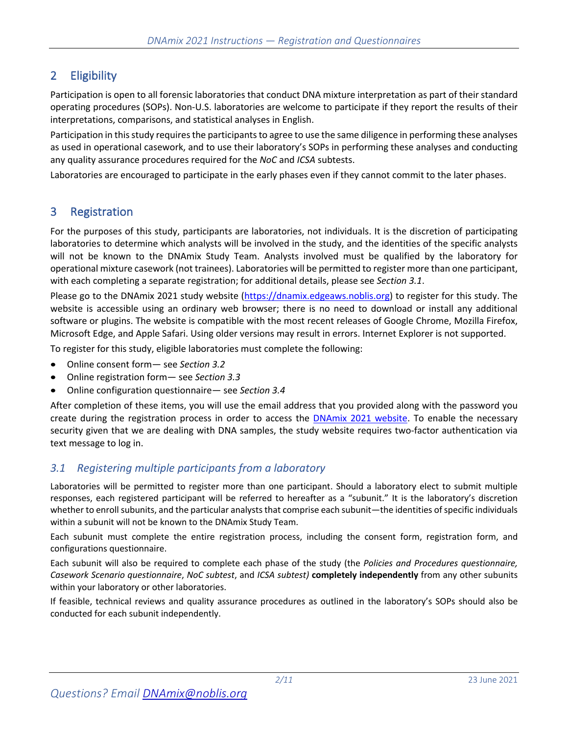# 2 Eligibility

Participation is open to all forensic laboratories that conduct DNA mixture interpretation as part of their standard operating procedures (SOPs). Non-U.S. laboratories are welcome to participate if they report the results of their interpretations, comparisons, and statistical analyses in English.

Participation in this study requires the participants to agree to use the same diligence in performing these analyses as used in operational casework, and to use their laboratory's SOPs in performing these analyses and conducting any quality assurance procedures required for the *NoC* and *ICSA* subtests.

Laboratories are encouraged to participate in the early phases even if they cannot commit to the later phases.

# 3 Registration

For the purposes of this study, participants are laboratories, not individuals. It is the discretion of participating laboratories to determine which analysts will be involved in the study, and the identities of the specific analysts will not be known to the DNAmix Study Team. Analysts involved must be qualified by the laboratory for operational mixture casework (not trainees). Laboratories will be permitted to register more than one participant, with each completing a separate registration; for additional details, please see *Section 3.1*.

Please go to the DNAmix 2021 study website (https://dnamix.edgeaws.noblis.org) to register for this study. The website is accessible using an ordinary web browser; there is no need to download or install any additional software or plugins. The website is compatible with the most recent releases of Google Chrome, Mozilla Firefox, Microsoft Edge, and Apple Safari. Using older versions may result in errors. Internet Explorer is not supported.

To register for this study, eligible laboratories must complete the following:

- Online consent form— see *Section 3.2*
- Online registration form— see *Section 3.3*
- Online configuration questionnaire— see *Section 3.4*

After completion of these items, you will use the email address that you provided along with the password you create during the registration process in order to access the DNAmix 2021 website. To enable the necessary security given that we are dealing with DNA samples, the study website requires two-factor authentication via text message to log in.

# *3.1 Registering multiple participants from a laboratory*

Laboratories will be permitted to register more than one participant. Should a laboratory elect to submit multiple responses, each registered participant will be referred to hereafter as a "subunit." It is the laboratory's discretion whether to enroll subunits, and the particular analysts that comprise each subunit—the identities of specific individuals within a subunit will not be known to the DNAmix Study Team.

Each subunit must complete the entire registration process, including the consent form, registration form, and configurations questionnaire.

Each subunit will also be required to complete each phase of the study (the *Policies and Procedures questionnaire, Casework Scenario questionnaire*, *NoC subtest*, and *ICSA subtest)* **completely independently** from any other subunits within your laboratory or other laboratories.

If feasible, technical reviews and quality assurance procedures as outlined in the laboratory's SOPs should also be conducted for each subunit independently.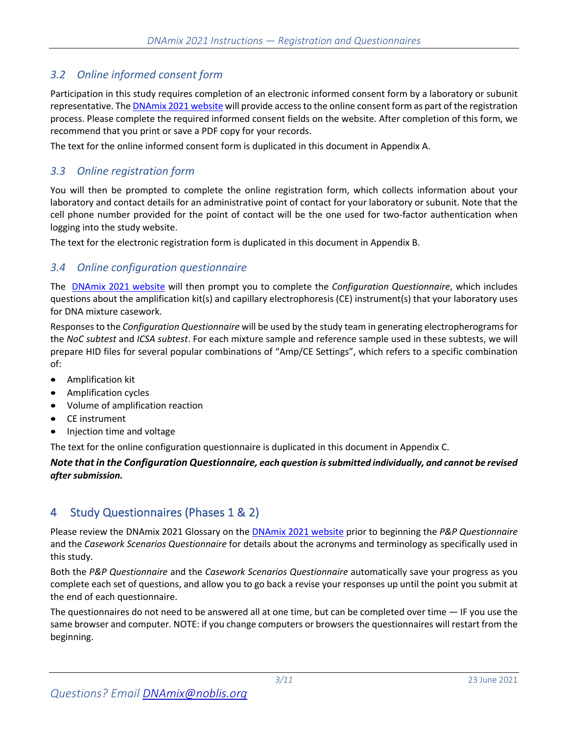# *3.2 Online informed consent form*

Participation in this study requires completion of an electronic informed consent form by a laboratory or subunit representative. The DNAmix 2021 website will provide access to the online consent form as part of the registration process. Please complete the required informed consent fields on the website. After completion of this form, we recommend that you print or save a PDF copy for your records.

The text for the online informed consent form is duplicated in this document in Appendix A.

### *3.3 Online registration form*

You will then be prompted to complete the online registration form, which collects information about your laboratory and contact details for an administrative point of contact for your laboratory or subunit. Note that the cell phone number provided for the point of contact will be the one used for two-factor authentication when logging into the study website.

The text for the electronic registration form is duplicated in this document in Appendix B.

### *3.4 Online configuration questionnaire*

The DNAmix 2021 website will then prompt you to complete the *Configuration Questionnaire*, which includes questions about the amplification kit(s) and capillary electrophoresis (CE) instrument(s) that your laboratory uses for DNA mixture casework.

Responsesto the *Configuration Questionnaire* will be used by the study team in generating electropherogramsfor the *NoC subtest* and *ICSA subtest*. For each mixture sample and reference sample used in these subtests, we will prepare HID files for several popular combinations of "Amp/CE Settings", which refers to a specific combination of:

- Amplification kit
- Amplification cycles
- Volume of amplification reaction
- CE instrument
- Injection time and voltage

The text for the online configuration questionnaire is duplicated in this document in Appendix C.

#### *Note that in the Configuration Questionnaire, each question is submitted individually, and cannot be revised after submission.*

# 4 Study Questionnaires (Phases 1 & 2)

Please review the DNAmix 2021 Glossary on the DNAmix 2021 website prior to beginning the *P&P Questionnaire* and the *Casework Scenarios Questionnaire* for details about the acronyms and terminology as specifically used in this study.

Both the *P&P Questionnaire* and the *Casework Scenarios Questionnaire* automatically save your progress as you complete each set of questions, and allow you to go back a revise your responses up until the point you submit at the end of each questionnaire.

The questionnaires do not need to be answered all at one time, but can be completed over time — IF you use the same browser and computer. NOTE: if you change computers or browsers the questionnaires will restart from the beginning.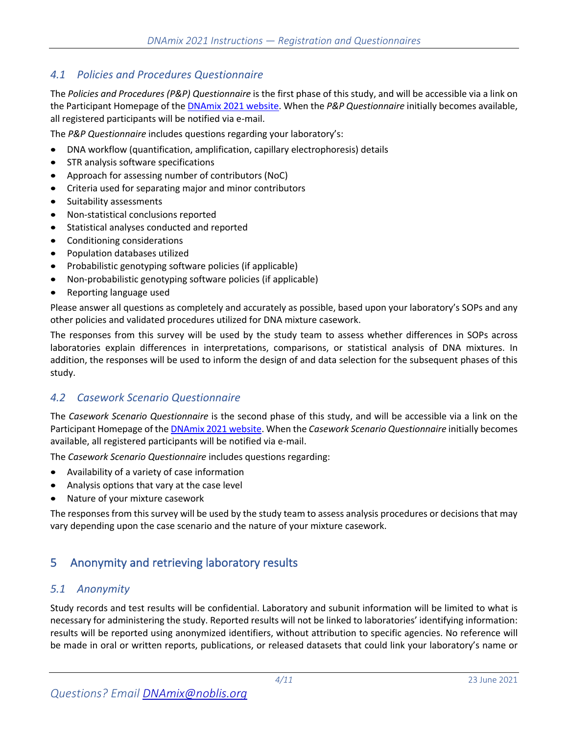## *4.1 Policies and Procedures Questionnaire*

The *Policies and Procedures (P&P) Questionnaire* is the first phase of this study, and will be accessible via a link on the Participant Homepage of the DNAmix 2021 website. When the *P&P Questionnaire* initially becomes available, all registered participants will be notified via e-mail.

The *P&P Questionnaire* includes questions regarding your laboratory's:

- DNA workflow (quantification, amplification, capillary electrophoresis) details
- STR analysis software specifications
- Approach for assessing number of contributors (NoC)
- Criteria used for separating major and minor contributors
- Suitability assessments
- Non-statistical conclusions reported
- Statistical analyses conducted and reported
- Conditioning considerations
- Population databases utilized
- Probabilistic genotyping software policies (if applicable)
- Non-probabilistic genotyping software policies (if applicable)
- Reporting language used

Please answer all questions as completely and accurately as possible, based upon your laboratory's SOPs and any other policies and validated procedures utilized for DNA mixture casework.

The responses from this survey will be used by the study team to assess whether differences in SOPs across laboratories explain differences in interpretations, comparisons, or statistical analysis of DNA mixtures. In addition, the responses will be used to inform the design of and data selection for the subsequent phases of this study.

### *4.2 Casework Scenario Questionnaire*

The *Casework Scenario Questionnaire* is the second phase of this study, and will be accessible via a link on the Participant Homepage of the DNAmix 2021 website. When the *Casework Scenario Questionnaire* initially becomes available, all registered participants will be notified via e-mail.

The *Casework Scenario Questionnaire* includes questions regarding:

- Availability of a variety of case information
- Analysis options that vary at the case level
- Nature of your mixture casework

The responses from this survey will be used by the study team to assess analysis procedures or decisions that may vary depending upon the case scenario and the nature of your mixture casework.

# 5 Anonymity and retrieving laboratory results

#### *5.1 Anonymity*

Study records and test results will be confidential. Laboratory and subunit information will be limited to what is necessary for administering the study. Reported results will not be linked to laboratories' identifying information: results will be reported using anonymized identifiers, without attribution to specific agencies. No reference will be made in oral or written reports, publications, or released datasets that could link your laboratory's name or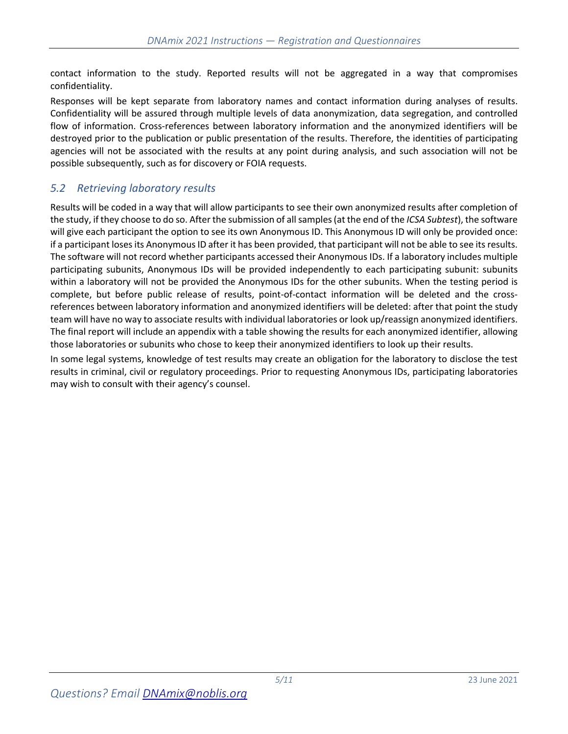contact information to the study. Reported results will not be aggregated in a way that compromises confidentiality.

Responses will be kept separate from laboratory names and contact information during analyses of results. Confidentiality will be assured through multiple levels of data anonymization, data segregation, and controlled flow of information. Cross-references between laboratory information and the anonymized identifiers will be destroyed prior to the publication or public presentation of the results. Therefore, the identities of participating agencies will not be associated with the results at any point during analysis, and such association will not be possible subsequently, such as for discovery or FOIA requests.

# *5.2 Retrieving laboratory results*

Results will be coded in a way that will allow participants to see their own anonymized results after completion of the study, if they choose to do so. After the submission of all samples(at the end of the *ICSA Subtest*), the software will give each participant the option to see its own Anonymous ID. This Anonymous ID will only be provided once: if a participant loses its Anonymous ID after it has been provided, that participant will not be able to see its results. The software will not record whether participants accessed their Anonymous IDs. If a laboratory includes multiple participating subunits, Anonymous IDs will be provided independently to each participating subunit: subunits within a laboratory will not be provided the Anonymous IDs for the other subunits. When the testing period is complete, but before public release of results, point-of-contact information will be deleted and the crossreferences between laboratory information and anonymized identifiers will be deleted: after that point the study team will have no way to associate results with individual laboratories or look up/reassign anonymized identifiers. The final report will include an appendix with a table showing the results for each anonymized identifier, allowing those laboratories or subunits who chose to keep their anonymized identifiers to look up their results.

In some legal systems, knowledge of test results may create an obligation for the laboratory to disclose the test results in criminal, civil or regulatory proceedings. Prior to requesting Anonymous IDs, participating laboratories may wish to consult with their agency's counsel.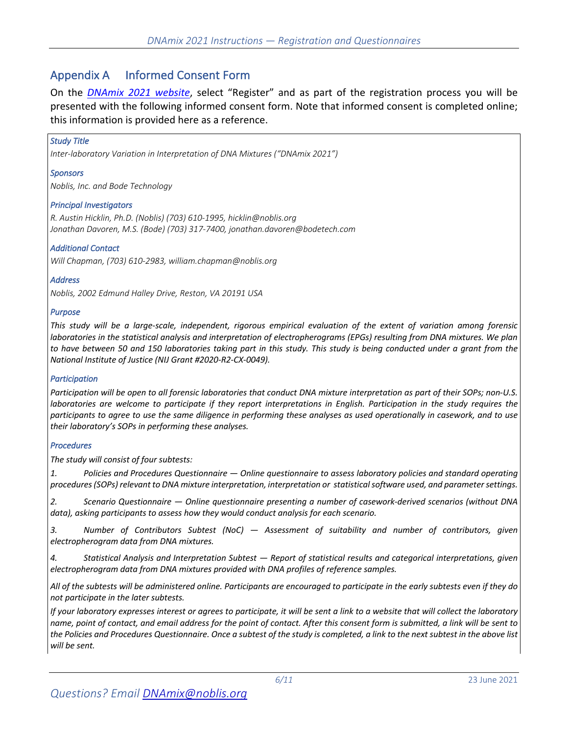# Appendix A Informed Consent Form

On the *DNAmix 2021 website*, select "Register" and as part of the registration process you will be presented with the following informed consent form. Note that informed consent is completed online; this information is provided here as a reference.

#### *Study Title*

*Inter-laboratory Variation in Interpretation of DNA Mixtures ("DNAmix 2021")*

#### *Sponsors*

*Noblis, Inc. and Bode Technology*

#### *Principal Investigators*

*R. Austin Hicklin, Ph.D. (Noblis) (703) 610-1995, hicklin@noblis.org Jonathan Davoren, M.S. (Bode) (703) 317-7400, jonathan.davoren@bodetech.com*

#### *Additional Contact*

*Will Chapman, (703) 610-2983, william.chapman@noblis.org*

#### *Address*

*Noblis, 2002 Edmund Halley Drive, Reston, VA 20191 USA*

#### *Purpose*

*This study will be a large-scale, independent, rigorous empirical evaluation of the extent of variation among forensic laboratories in the statistical analysis and interpretation of electropherograms (EPGs) resulting from DNA mixtures. We plan to have between 50 and 150 laboratories taking part in this study. This study is being conducted under a grant from the National Institute of Justice (NIJ Grant #2020-R2-CX-0049).*

#### *Participation*

*Participation will be open to all forensic laboratories that conduct DNA mixture interpretation as part of their SOPs; non-U.S. laboratories are welcome to participate if they report interpretations in English. Participation in the study requires the participants to agree to use the same diligence in performing these analyses as used operationally in casework, and to use their laboratory's SOPs in performing these analyses.* 

#### *Procedures*

*The study will consist of four subtests:* 

*1. Policies and Procedures Questionnaire — Online questionnaire to assess laboratory policies and standard operating procedures (SOPs) relevant to DNA mixture interpretation, interpretation or statistical software used, and parameter settings.* 

*2. Scenario Questionnaire — Online questionnaire presenting a number of casework-derived scenarios (without DNA data), asking participants to assess how they would conduct analysis for each scenario.*

*3. Number of Contributors Subtest (NoC) — Assessment of suitability and number of contributors, given electropherogram data from DNA mixtures.*

*4. Statistical Analysis and Interpretation Subtest — Report of statistical results and categorical interpretations, given electropherogram data from DNA mixtures provided with DNA profiles of reference samples.*

*All of the subtests will be administered online. Participants are encouraged to participate in the early subtests even if they do not participate in the later subtests.*

*If your laboratory expresses interest or agrees to participate, it will be sent a link to a website that will collect the laboratory name, point of contact, and email address for the point of contact. After this consent form is submitted, a link will be sent to the Policies and Procedures Questionnaire. Once a subtest of the study is completed, a link to the next subtest in the above list will be sent.*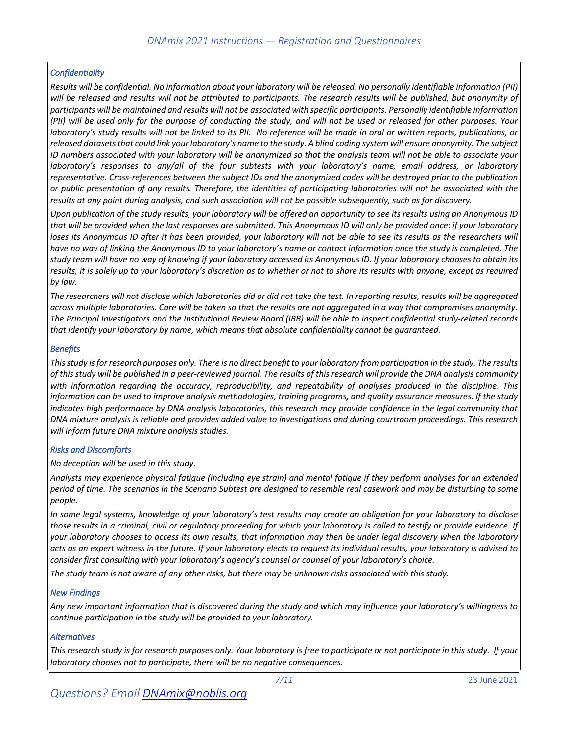#### *Confidentiality*

*Results will be confidential. No information about your laboratory will be released. No personally identifiable information (PII) will be released and results will not be attributed to participants. The research results will be published, but anonymity of participants will be maintained and results will not be associated with specific participants. Personally identifiable information (PII) will be used only for the purpose of conducting the study, and will not be used or released for other purposes. Your laboratory's study results will not be linked to its PII. No reference will be made in oral or written reports, publications, or released datasets that could link your laboratory's name to the study. A blind coding system will ensure anonymity. The subject ID numbers associated with your laboratory will be anonymized so that the analysis team will not be able to associate your laboratory's responses to any/all of the four subtests with your laboratory's name, email address, or laboratory representative. Cross-references between the subject IDs and the anonymized codes will be destroyed prior to the publication or public presentation of any results. Therefore, the identities of participating laboratories will not be associated with the results at any point during analysis, and such association will not be possible subsequently, such as for discovery.* 

*Upon publication of the study results, your laboratory will be offered an opportunity to see its results using an Anonymous ID that will be provided when the last responses are submitted. This Anonymous ID will only be provided once: if your laboratory*  loses its Anonymous ID after it has been provided, your laboratory will not be able to see its results as the researchers will *have no way of linking the Anonymous ID to your laboratory's name or contact information once the study is completed. The study team will have no way of knowing if your laboratory accessed its Anonymous ID. If your laboratory chooses to obtain its results, it is solely up to your laboratory's discretion as to whether or not to share its results with anyone, except as required by law.* 

*The researchers will not disclose which laboratories did or did not take the test. In reporting results, results will be aggregated across multiple laboratories. Care will be taken so that the results are not aggregated in a way that compromises anonymity. The Principal Investigators and the Institutional Review Board (IRB) will be able to inspect confidential study-related records that identify your laboratory by name, which means that absolute confidentiality cannot be guaranteed.*

#### *Benefits*

*This study is for research purposes only. There is no direct benefit to your laboratory from participation in the study. The results of this study will be published in a peer-reviewed journal. The results of this research will provide the DNA analysis community with information regarding the accuracy, reproducibility, and repeatability of analyses produced in the discipline. This information can be used to improve analysis methodologies, training programs, and quality assurance measures. If the study*  indicates high performance by DNA analysis laboratories, this research may provide confidence in the legal community that *DNA mixture analysis is reliable and provides added value to investigations and during courtroom proceedings. This research will inform future DNA mixture analysis studies.* 

#### *Risks and Discomforts*

*No deception will be used in this study.* 

*Analysts may experience physical fatigue (including eye strain) and mental fatigue if they perform analyses for an extended period of time. The scenarios in the Scenario Subtest are designed to resemble real casework and may be disturbing to some people.* 

*In some legal systems, knowledge of your laboratory's test results may create an obligation for your laboratory to disclose those results in a criminal, civil or regulatory proceeding for which your laboratory is called to testify or provide evidence. If your laboratory chooses to access its own results, that information may then be under legal discovery when the laboratory acts as an expert witness in the future. If your laboratory elects to request its individual results, your laboratory is advised to consider first consulting with your laboratory's agency's counsel or counsel of your laboratory's choice.* 

*The study team is not aware of any other risks, but there may be unknown risks associated with this study.* 

#### *New Findings*

*Any new important information that is discovered during the study and which may influence your laboratory's willingness to continue participation in the study will be provided to your laboratory.*

#### *Alternatives*

*This research study is for research purposes only. Your laboratory is free to participate or not participate in this study. If your laboratory chooses not to participate, there will be no negative consequences.*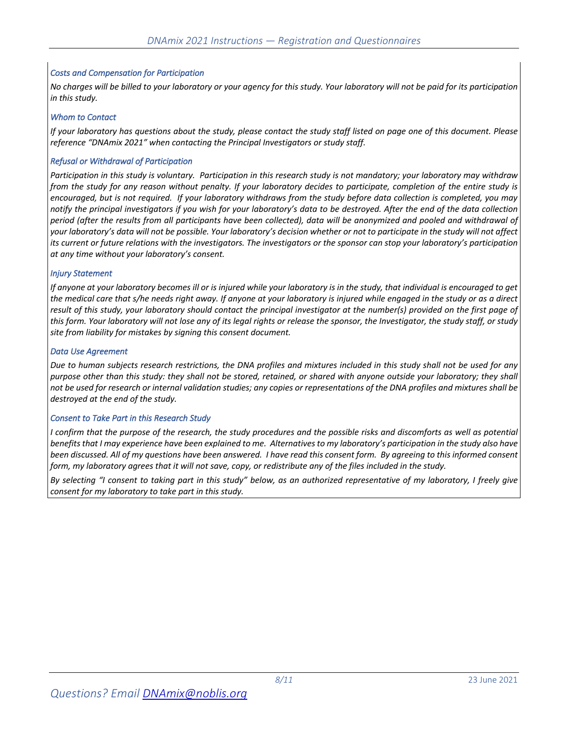#### *Costs and Compensation for Participation*

*No charges will be billed to your laboratory or your agency for this study. Your laboratory will not be paid for its participation in this study.*

#### *Whom to Contact*

*If your laboratory has questions about the study, please contact the study staff listed on page one of this document. Please reference "DNAmix 2021" when contacting the Principal Investigators or study staff.*

#### *Refusal or Withdrawal of Participation*

*Participation in this study is voluntary. Participation in this research study is not mandatory; your laboratory may withdraw from the study for any reason without penalty. If your laboratory decides to participate, completion of the entire study is encouraged, but is not required. If your laboratory withdraws from the study before data collection is completed, you may notify the principal investigators if you wish for your laboratory's data to be destroyed. After the end of the data collection period (after the results from all participants have been collected), data will be anonymized and pooled and withdrawal of your laboratory's data will not be possible. Your laboratory's decision whether or not to participate in the study will not affect its current or future relations with the investigators. The investigators or the sponsor can stop your laboratory's participation at any time without your laboratory's consent.* 

#### *Injury Statement*

*If anyone at your laboratory becomes ill or is injured while your laboratory is in the study, that individual is encouraged to get the medical care that s/he needs right away. If anyone at your laboratory is injured while engaged in the study or as a direct result of this study, your laboratory should contact the principal investigator at the number(s) provided on the first page of this form. Your laboratory will not lose any of its legal rights or release the sponsor, the Investigator, the study staff, or study site from liability for mistakes by signing this consent document.*

#### *Data Use Agreement*

*Due to human subjects research restrictions, the DNA profiles and mixtures included in this study shall not be used for any purpose other than this study: they shall not be stored, retained, or shared with anyone outside your laboratory; they shall not be used for research or internal validation studies; any copies or representations of the DNA profiles and mixtures shall be destroyed at the end of the study.*

#### *Consent to Take Part in this Research Study*

*I confirm that the purpose of the research, the study procedures and the possible risks and discomforts as well as potential benefits that I may experience have been explained to me. Alternatives to my laboratory's participation in the study also have been discussed. All of my questions have been answered. I have read this consent form. By agreeing to this informed consent form, my laboratory agrees that it will not save, copy, or redistribute any of the files included in the study.*

*By selecting "I consent to taking part in this study" below, as an authorized representative of my laboratory, I freely give consent for my laboratory to take part in this study.*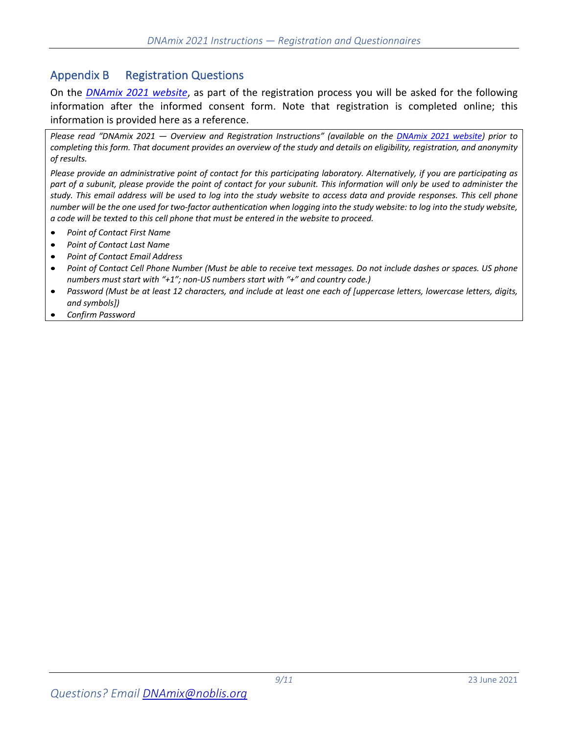# Appendix B Registration Questions

On the *DNAmix 2021 website*, as part of the registration process you will be asked for the following information after the informed consent form. Note that registration is completed online; this information is provided here as a reference.

*Please read "DNAmix 2021 — Overview and Registration Instructions" (available on the DNAmix 2021 website) prior to completing this form. That document provides an overview of the study and details on eligibility, registration, and anonymity of results.*

*Please provide an administrative point of contact for this participating laboratory. Alternatively, if you are participating as part of a subunit, please provide the point of contact for your subunit. This information will only be used to administer the study. This email address will be used to log into the study website to access data and provide responses. This cell phone number will be the one used for two-factor authentication when logging into the study website: to log into the study website, a code will be texted to this cell phone that must be entered in the website to proceed.*

- *Point of Contact First Name*
- *Point of Contact Last Name*
- *Point of Contact Email Address*
- *Point of Contact Cell Phone Number (Must be able to receive text messages. Do not include dashes or spaces. US phone numbers must start with "+1"; non-US numbers start with "+" and country code.)*
- *Password (Must be at least 12 characters, and include at least one each of [uppercase letters, lowercase letters, digits, and symbols])*
- *Confirm Password*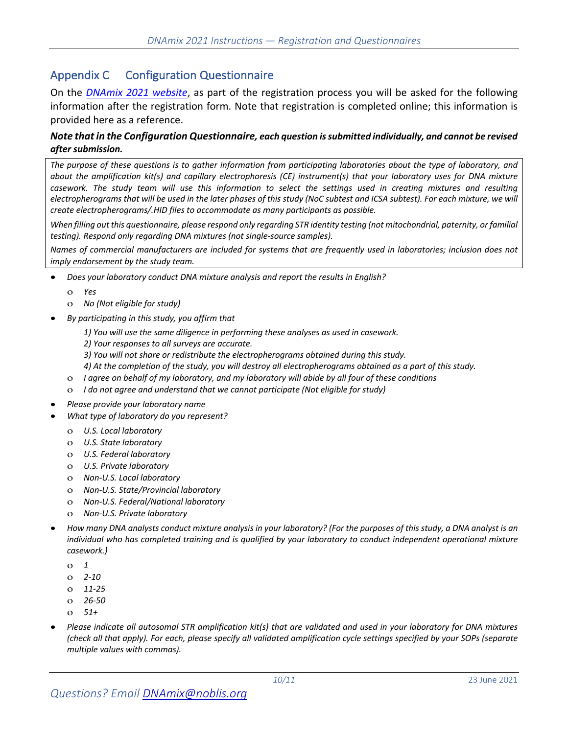# Appendix C Configuration Questionnaire

On the *DNAmix 2021 website*, as part of the registration process you will be asked for the following information after the registration form. Note that registration is completed online; this information is provided here as a reference.

#### *Note that in the Configuration Questionnaire, each question is submitted individually, and cannot be revised after submission.*

*The purpose of these questions is to gather information from participating laboratories about the type of laboratory, and about the amplification kit(s) and capillary electrophoresis (CE) instrument(s) that your laboratory uses for DNA mixture casework. The study team will use this information to select the settings used in creating mixtures and resulting electropherograms that will be used in the later phases of this study (NoC subtest and ICSA subtest). For each mixture, we will create electropherograms/.HID files to accommodate as many participants as possible.* 

*When filling out this questionnaire, please respond only regarding STR identity testing (not mitochondrial, paternity, or familial testing). Respond only regarding DNA mixtures (not single-source samples).* 

*Names of commercial manufacturers are included for systems that are frequently used in laboratories; inclusion does not imply endorsement by the study team.* 

- *Does your laboratory conduct DNA mixture analysis and report the results in English?*
	- o *Yes*
	- o *No (Not eligible for study)*
- *By participating in this study, you affirm that*
	- *1) You will use the same diligence in performing these analyses as used in casework.*
	- *2) Your responses to all surveys are accurate.*
	- *3) You will not share or redistribute the electropherograms obtained during this study.*
	- *4) At the completion of the study, you will destroy all electropherograms obtained as a part of this study.*
	- o *I agree on behalf of my laboratory, and my laboratory will abide by all four of these conditions*
	- o *I do not agree and understand that we cannot participate (Not eligible for study)*
- *Please provide your laboratory name*
- *What type of laboratory do you represent?*
	- o *U.S. Local laboratory*
	- o *U.S. State laboratory*
	- o *U.S. Federal laboratory*
	- o *U.S. Private laboratory*
	- o *Non-U.S. Local laboratory*
	- o *Non-U.S. State/Provincial laboratory*
	- o *Non-U.S. Federal/National laboratory*
	- o *Non-U.S. Private laboratory*
- *How many DNA analysts conduct mixture analysis in your laboratory? (For the purposes of this study, a DNA analyst is an individual who has completed training and is qualified by your laboratory to conduct independent operational mixture casework.)*
	- o *1*
	- o *2-10*
	- o *11-25*
	- o *26-50*
	- o *51+*
- *Please indicate all autosomal STR amplification kit(s) that are validated and used in your laboratory for DNA mixtures (check all that apply). For each, please specify all validated amplification cycle settings specified by your SOPs (separate multiple values with commas).*